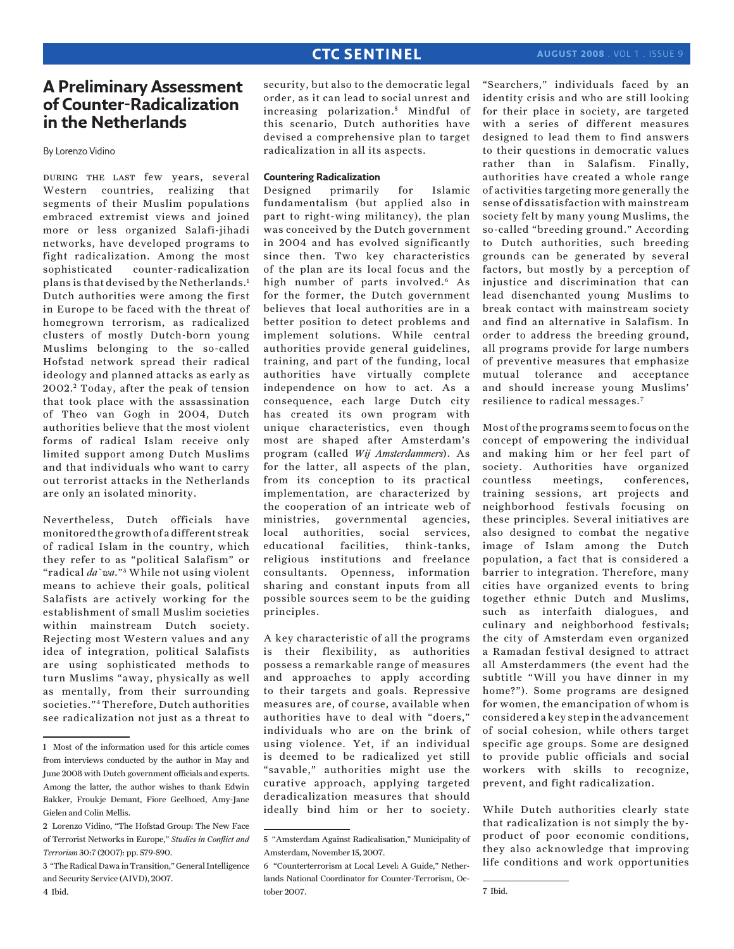# **CTC SENTINEL**

## **A Preliminary Assessment of Counter-Radicalization in the Netherlands**

By Lorenzo Vidino

during the last few years, several Western countries, realizing that segments of their Muslim populations embraced extremist views and joined more or less organized Salafi-jihadi networks, have developed programs to fight radicalization. Among the most sophisticated counter-radicalization plans is that devised by the Netherlands.1 Dutch authorities were among the first in Europe to be faced with the threat of homegrown terrorism, as radicalized clusters of mostly Dutch-born young Muslims belonging to the so-called Hofstad network spread their radical ideology and planned attacks as early as 2002. 2 Today, after the peak of tension that took place with the assassination of Theo van Gogh in 2004, Dutch authorities believe that the most violent forms of radical Islam receive only limited support among Dutch Muslims and that individuals who want to carry out terrorist attacks in the Netherlands are only an isolated minority.

Nevertheless, Dutch officials have monitored the growth of a different streak of radical Islam in the country, which they refer to as "political Salafism" or "radical *da`wa*." 3 While not using violent means to achieve their goals, political Salafists are actively working for the establishment of small Muslim societies within mainstream Dutch society. Rejecting most Western values and any idea of integration, political Salafists are using sophisticated methods to turn Muslims "away, physically as well as mentally, from their surrounding societies."4 Therefore, Dutch authorities see radicalization not just as a threat to

security, but also to the democratic legal order, as it can lead to social unrest and increasing polarization.<sup>5</sup> Mindful of this scenario, Dutch authorities have devised a comprehensive plan to target radicalization in all its aspects.

### **Countering Radicalization**

Designed primarily for Islamic fundamentalism (but applied also in part to right-wing militancy), the plan was conceived by the Dutch government in 2004 and has evolved significantly since then. Two key characteristics of the plan are its local focus and the high number of parts involved.<sup>6</sup> As for the former, the Dutch government believes that local authorities are in a better position to detect problems and implement solutions. While central authorities provide general guidelines, training, and part of the funding, local authorities have virtually complete independence on how to act. As a consequence, each large Dutch city has created its own program with unique characteristics, even though most are shaped after Amsterdam's program (called *Wij Amsterdammers*). As for the latter, all aspects of the plan, from its conception to its practical implementation, are characterized by the cooperation of an intricate web of ministries, governmental agencies, local authorities, social services, educational facilities, think-tanks, religious institutions and freelance consultants. Openness, information sharing and constant inputs from all possible sources seem to be the guiding principles.

A key characteristic of all the programs is their flexibility, as authorities possess a remarkable range of measures and approaches to apply according to their targets and goals. Repressive measures are, of course, available when authorities have to deal with "doers," individuals who are on the brink of using violence. Yet, if an individual is deemed to be radicalized yet still "savable," authorities might use the curative approach, applying targeted deradicalization measures that should ideally bind him or her to society. "Searchers," individuals faced by an identity crisis and who are still looking for their place in society, are targeted with a series of different measures designed to lead them to find answers to their questions in democratic values rather than in Salafism. Finally, authorities have created a whole range of activities targeting more generally the sense of dissatisfaction with mainstream society felt by many young Muslims, the so-called "breeding ground." According to Dutch authorities, such breeding grounds can be generated by several factors, but mostly by a perception of injustice and discrimination that can lead disenchanted young Muslims to break contact with mainstream society and find an alternative in Salafism. In order to address the breeding ground, all programs provide for large numbers of preventive measures that emphasize mutual tolerance and acceptance and should increase young Muslims' resilience to radical messages.7

Most of the programs seem to focus on the concept of empowering the individual and making him or her feel part of society. Authorities have organized countless meetings, conferences, training sessions, art projects and neighborhood festivals focusing on these principles. Several initiatives are also designed to combat the negative image of Islam among the Dutch population, a fact that is considered a barrier to integration. Therefore, many cities have organized events to bring together ethnic Dutch and Muslims, such as interfaith dialogues, and culinary and neighborhood festivals; the city of Amsterdam even organized a Ramadan festival designed to attract all Amsterdammers (the event had the subtitle "Will you have dinner in my home?"). Some programs are designed for women, the emancipation of whom is considered a key step in the advancement of social cohesion, while others target specific age groups. Some are designed to provide public officials and social workers with skills to recognize, prevent, and fight radicalization.

While Dutch authorities clearly state that radicalization is not simply the byproduct of poor economic conditions, they also acknowledge that improving life conditions and work opportunities

<sup>1</sup> Most of the information used for this article comes from interviews conducted by the author in May and June 2008 with Dutch government officials and experts. Among the latter, the author wishes to thank Edwin Bakker, Froukje Demant, Fiore Geelhoed, Amy-Jane Gielen and Colin Mellis.

<sup>2</sup> Lorenzo Vidino, "The Hofstad Group: The New Face of Terrorist Networks in Europe," *Studies in Conflict and Terrorism* 30:7 (2007): pp. 579-590.

<sup>3 &</sup>quot;The Radical Dawa in Transition," General Intelligence and Security Service (AIVD), 2007. 4 Ibid.

<sup>5 &</sup>quot;Amsterdam Against Radicalisation," Municipality of Amsterdam, November 15, 2007.

<sup>6 &</sup>quot;Counterterrorism at Local Level: A Guide," Netherlands National Coordinator for Counter-Terrorism, October 2007.

<sup>7</sup> Ibid.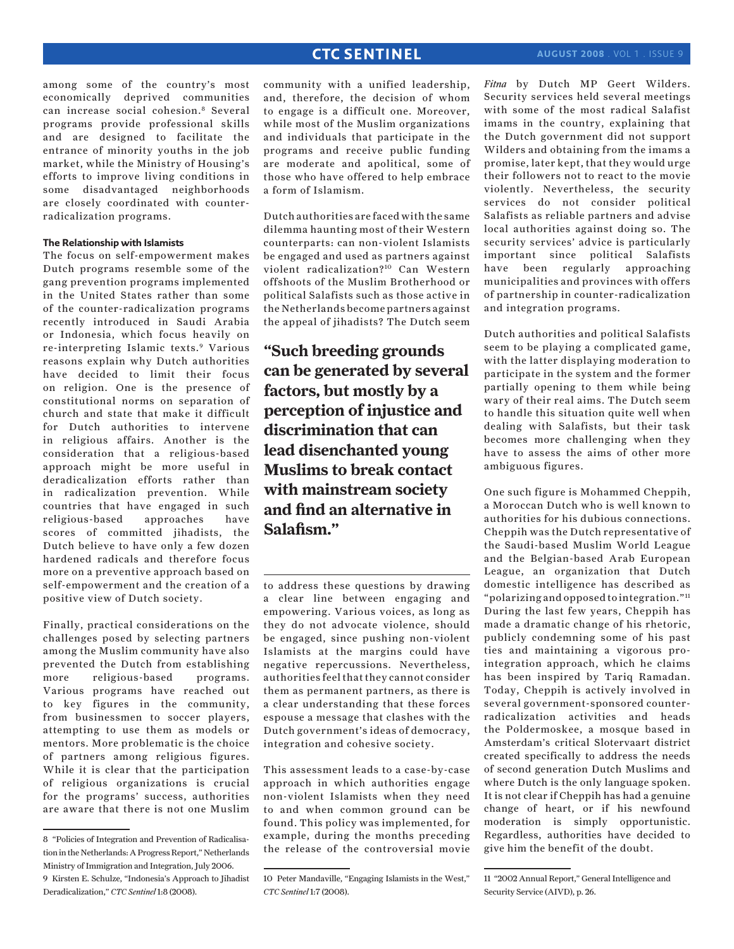## **CTC SENTINEL**

among some of the country's most economically deprived communities can increase social cohesion.8 Several programs provide professional skills and are designed to facilitate the entrance of minority youths in the job market, while the Ministry of Housing's efforts to improve living conditions in some disadvantaged neighborhoods are closely coordinated with counterradicalization programs.

### **The Relationship with Islamists**

The focus on self-empowerment makes Dutch programs resemble some of the gang prevention programs implemented in the United States rather than some of the counter-radicalization programs recently introduced in Saudi Arabia or Indonesia, which focus heavily on re-interpreting Islamic texts.9 Various reasons explain why Dutch authorities have decided to limit their focus on religion. One is the presence of constitutional norms on separation of church and state that make it difficult for Dutch authorities to intervene in religious affairs. Another is the consideration that a religious-based approach might be more useful in deradicalization efforts rather than in radicalization prevention. While countries that have engaged in such religious-based approaches have scores of committed jihadists, the Dutch believe to have only a few dozen hardened radicals and therefore focus more on a preventive approach based on self-empowerment and the creation of a positive view of Dutch society.

Finally, practical considerations on the challenges posed by selecting partners among the Muslim community have also prevented the Dutch from establishing more religious-based programs. Various programs have reached out to key figures in the community, from businessmen to soccer players, attempting to use them as models or mentors. More problematic is the choice of partners among religious figures. While it is clear that the participation of religious organizations is crucial for the programs' success, authorities are aware that there is not one Muslim

community with a unified leadership, and, therefore, the decision of whom to engage is a difficult one. Moreover, while most of the Muslim organizations and individuals that participate in the programs and receive public funding are moderate and apolitical, some of those who have offered to help embrace a form of Islamism.

Dutch authorities are faced with the same dilemma haunting most of their Western counterparts: can non-violent Islamists be engaged and used as partners against violent radicalization?10 Can Western offshoots of the Muslim Brotherhood or political Salafists such as those active in the Netherlands become partners against the appeal of jihadists? The Dutch seem

**"Such breeding grounds can be generated by several factors, but mostly by a perception of injustice and discrimination that can lead disenchanted young Muslims to break contact with mainstream society and find an alternative in Salafism."**

to address these questions by drawing a clear line between engaging and empowering. Various voices, as long as they do not advocate violence, should be engaged, since pushing non-violent Islamists at the margins could have negative repercussions. Nevertheless, authorities feel that they cannot consider them as permanent partners, as there is a clear understanding that these forces espouse a message that clashes with the Dutch government's ideas of democracy, integration and cohesive society.

This assessment leads to a case-by-case approach in which authorities engage non-violent Islamists when they need to and when common ground can be found. This policy was implemented, for example, during the months preceding the release of the controversial movie *Fitna* by Dutch MP Geert Wilders. Security services held several meetings with some of the most radical Salafist imams in the country, explaining that the Dutch government did not support Wilders and obtaining from the imams a promise, later kept, that they would urge their followers not to react to the movie violently. Nevertheless, the security services do not consider political Salafists as reliable partners and advise local authorities against doing so. The security services' advice is particularly important since political Salafists have been regularly approaching municipalities and provinces with offers of partnership in counter-radicalization and integration programs.

Dutch authorities and political Salafists seem to be playing a complicated game, with the latter displaying moderation to participate in the system and the former partially opening to them while being wary of their real aims. The Dutch seem to handle this situation quite well when dealing with Salafists, but their task becomes more challenging when they have to assess the aims of other more ambiguous figures.

One such figure is Mohammed Cheppih, a Moroccan Dutch who is well known to authorities for his dubious connections. Cheppih was the Dutch representative of the Saudi-based Muslim World League and the Belgian-based Arab European League, an organization that Dutch domestic intelligence has described as "polarizing and opposed to integration."11 During the last few years, Cheppih has made a dramatic change of his rhetoric, publicly condemning some of his past ties and maintaining a vigorous prointegration approach, which he claims has been inspired by Tariq Ramadan. Today, Cheppih is actively involved in several government-sponsored counterradicalization activities and heads the Poldermoskee, a mosque based in Amsterdam's critical Slotervaart district created specifically to address the needs of second generation Dutch Muslims and where Dutch is the only language spoken. It is not clear if Cheppih has had a genuine change of heart, or if his newfound moderation is simply opportunistic. Regardless, authorities have decided to give him the benefit of the doubt.

<sup>8 &</sup>quot;Policies of Integration and Prevention of Radicalisation in the Netherlands: A Progress Report," Netherlands Ministry of Immigration and Integration, July 2006. 9 Kirsten E. Schulze, "Indonesia's Approach to Jihadist Deradicalization," *CTC Sentinel* 1:8 (2008).

<sup>10</sup> Peter Mandaville, "Engaging Islamists in the West," *CTC Sentinel* 1:7 (2008).

<sup>11 &</sup>quot;2002 Annual Report," General Intelligence and Security Service (AIVD), p. 26.